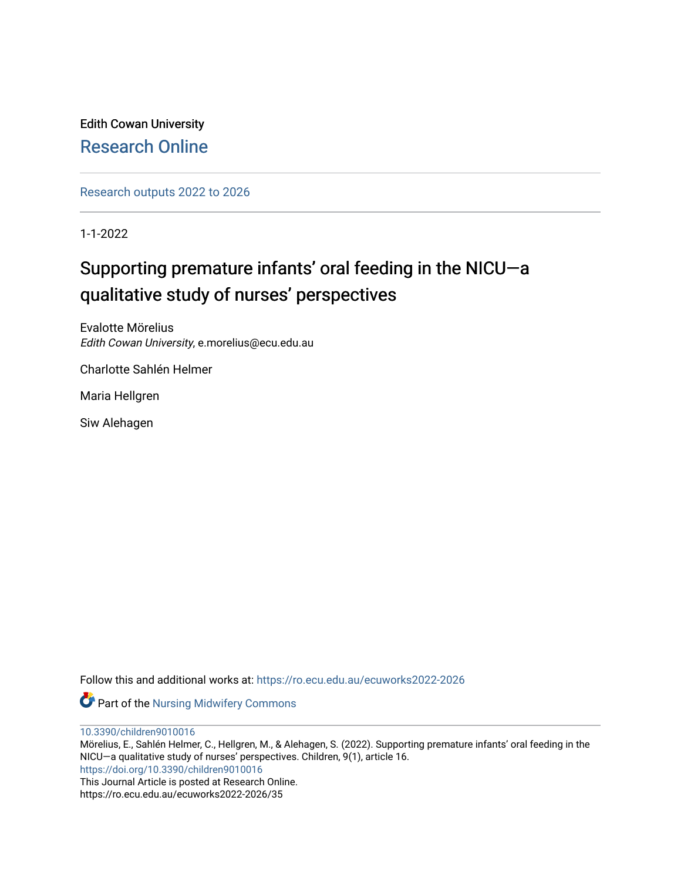Edith Cowan University [Research Online](https://ro.ecu.edu.au/) 

[Research outputs 2022 to 2026](https://ro.ecu.edu.au/ecuworks2022-2026) 

1-1-2022

# Supporting premature infants' oral feeding in the NICU-a qualitative study of nurses' perspectives

Evalotte Mörelius Edith Cowan University, e.morelius@ecu.edu.au

Charlotte Sahlén Helmer

Maria Hellgren

Siw Alehagen

Follow this and additional works at: [https://ro.ecu.edu.au/ecuworks2022-2026](https://ro.ecu.edu.au/ecuworks2022-2026?utm_source=ro.ecu.edu.au%2Fecuworks2022-2026%2F35&utm_medium=PDF&utm_campaign=PDFCoverPages)

**Part of the Nursing Midwifery Commons** 

[10.3390/children9010016](http://dx.doi.org/10.3390/children9010016) 

Mörelius, E., Sahlén Helmer, C., Hellgren, M., & Alehagen, S. (2022). Supporting premature infants' oral feeding in the NICU—a qualitative study of nurses' perspectives. Children, 9(1), article 16. <https://doi.org/10.3390/children9010016> This Journal Article is posted at Research Online.

https://ro.ecu.edu.au/ecuworks2022-2026/35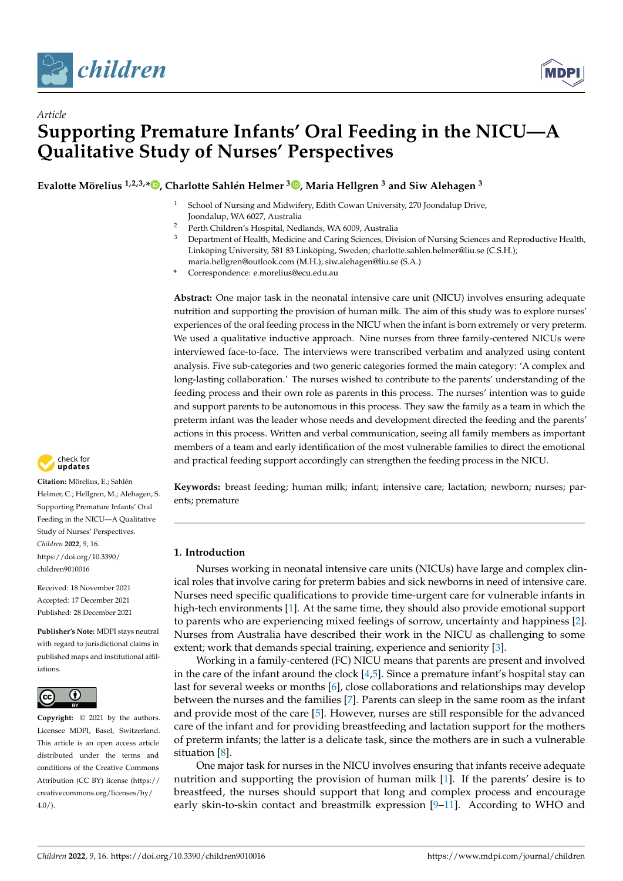

*Article*



# **Supporting Premature Infants' Oral Feeding in the NICU—A Qualitative Study of Nurses' Perspectives**

**Evalotte Mörelius 1,2,3,\* [,](https://orcid.org/0000-0002-3256-5407) Charlotte Sahlén Helmer <sup>3</sup> [,](https://orcid.org/0000-0003-3621-4580) Maria Hellgren <sup>3</sup> and Siw Alehagen <sup>3</sup>**

- School of Nursing and Midwifery, Edith Cowan University, 270 Joondalup Drive, Joondalup, WA 6027, Australia
- <sup>2</sup> Perth Children's Hospital, Nedlands, WA 6009, Australia
- <sup>3</sup> Department of Health, Medicine and Caring Sciences, Division of Nursing Sciences and Reproductive Health, Linköping University, 581 83 Linköping, Sweden; charlotte.sahlen.helmer@liu.se (C.S.H.); maria.hellgren@outlook.com (M.H.); siw.alehagen@liu.se (S.A.)
- **\*** Correspondence: e.morelius@ecu.edu.au

**Abstract:** One major task in the neonatal intensive care unit (NICU) involves ensuring adequate nutrition and supporting the provision of human milk. The aim of this study was to explore nurses' experiences of the oral feeding process in the NICU when the infant is born extremely or very preterm. We used a qualitative inductive approach. Nine nurses from three family-centered NICUs were interviewed face-to-face. The interviews were transcribed verbatim and analyzed using content analysis. Five sub-categories and two generic categories formed the main category: 'A complex and long-lasting collaboration.' The nurses wished to contribute to the parents' understanding of the feeding process and their own role as parents in this process. The nurses' intention was to guide and support parents to be autonomous in this process. They saw the family as a team in which the preterm infant was the leader whose needs and development directed the feeding and the parents' actions in this process. Written and verbal communication, seeing all family members as important members of a team and early identification of the most vulnerable families to direct the emotional and practical feeding support accordingly can strengthen the feeding process in the NICU.

check for **-**

**Citation:** Mörelius, E.; Sahlén Helmer, C.; Hellgren, M.; Alehagen, S. Supporting Premature Infants' Oral Feeding in the NICU—A Qualitative Study of Nurses' Perspectives. *Children* **2022**, *9*, 16. [https://doi.org/10.3390/](https://doi.org/10.3390/children9010016) [children9010016](https://doi.org/10.3390/children9010016)

Received: 18 November 2021 Accepted: 17 December 2021 Published: 28 December 2021

**Publisher's Note:** MDPI stays neutral with regard to jurisdictional claims in published maps and institutional affiliations.



**Copyright:** © 2021 by the authors. Licensee MDPI, Basel, Switzerland. This article is an open access article distributed under the terms and conditions of the Creative Commons Attribution (CC BY) license [\(https://](https://creativecommons.org/licenses/by/4.0/) [creativecommons.org/licenses/by/](https://creativecommons.org/licenses/by/4.0/)  $4.0/$ ).

**Keywords:** breast feeding; human milk; infant; intensive care; lactation; newborn; nurses; parents; premature

# **1. Introduction**

Nurses working in neonatal intensive care units (NICUs) have large and complex clinical roles that involve caring for preterm babies and sick newborns in need of intensive care. Nurses need specific qualifications to provide time-urgent care for vulnerable infants in high-tech environments [\[1\]](#page-10-0). At the same time, they should also provide emotional support to parents who are experiencing mixed feelings of sorrow, uncertainty and happiness [\[2\]](#page-10-1). Nurses from Australia have described their work in the NICU as challenging to some extent; work that demands special training, experience and seniority [\[3\]](#page-10-2).

Working in a family-centered (FC) NICU means that parents are present and involved in the care of the infant around the clock  $[4,5]$  $[4,5]$ . Since a premature infant's hospital stay can last for several weeks or months [\[6\]](#page-10-5), close collaborations and relationships may develop between the nurses and the families [\[7\]](#page-10-6). Parents can sleep in the same room as the infant and provide most of the care [\[5\]](#page-10-4). However, nurses are still responsible for the advanced care of the infant and for providing breastfeeding and lactation support for the mothers of preterm infants; the latter is a delicate task, since the mothers are in such a vulnerable situation [\[8\]](#page-10-7).

One major task for nurses in the NICU involves ensuring that infants receive adequate nutrition and supporting the provision of human milk [\[1\]](#page-10-0). If the parents' desire is to breastfeed, the nurses should support that long and complex process and encourage early skin-to-skin contact and breastmilk expression [\[9](#page-10-8)[–11\]](#page-10-9). According to WHO and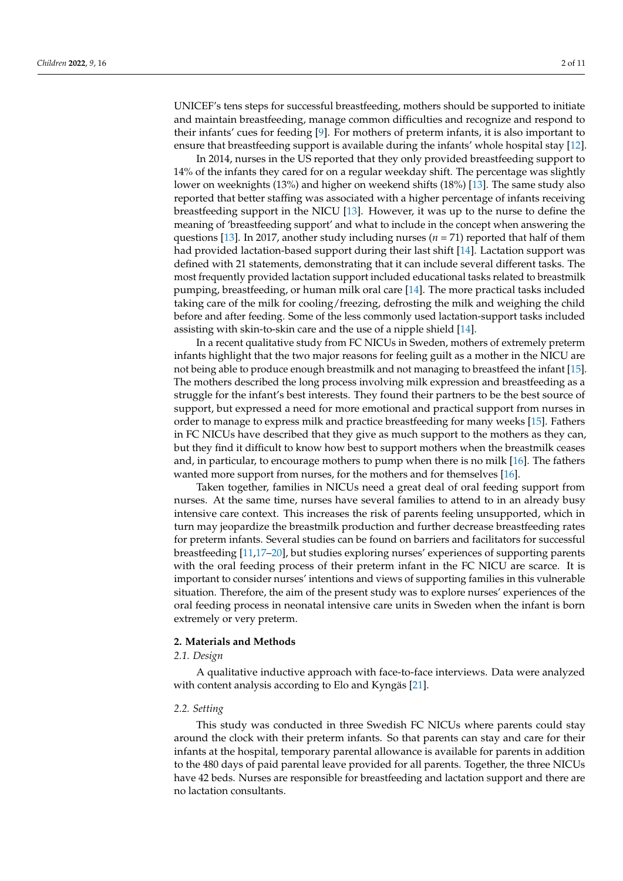UNICEF's tens steps for successful breastfeeding, mothers should be supported to initiate and maintain breastfeeding, manage common difficulties and recognize and respond to their infants' cues for feeding [\[9\]](#page-10-8). For mothers of preterm infants, it is also important to ensure that breastfeeding support is available during the infants' whole hospital stay [\[12\]](#page-10-10).

In 2014, nurses in the US reported that they only provided breastfeeding support to 14% of the infants they cared for on a regular weekday shift. The percentage was slightly lower on weeknights (13%) and higher on weekend shifts (18%) [\[13\]](#page-10-11). The same study also reported that better staffing was associated with a higher percentage of infants receiving breastfeeding support in the NICU [\[13\]](#page-10-11). However, it was up to the nurse to define the meaning of 'breastfeeding support' and what to include in the concept when answering the questions [\[13\]](#page-10-11). In 2017, another study including nurses ( $n = 71$ ) reported that half of them had provided lactation-based support during their last shift [\[14\]](#page-10-12). Lactation support was defined with 21 statements, demonstrating that it can include several different tasks. The most frequently provided lactation support included educational tasks related to breastmilk pumping, breastfeeding, or human milk oral care [\[14\]](#page-10-12). The more practical tasks included taking care of the milk for cooling/freezing, defrosting the milk and weighing the child before and after feeding. Some of the less commonly used lactation-support tasks included assisting with skin-to-skin care and the use of a nipple shield [\[14\]](#page-10-12).

In a recent qualitative study from FC NICUs in Sweden, mothers of extremely preterm infants highlight that the two major reasons for feeling guilt as a mother in the NICU are not being able to produce enough breastmilk and not managing to breastfeed the infant [\[15\]](#page-11-0). The mothers described the long process involving milk expression and breastfeeding as a struggle for the infant's best interests. They found their partners to be the best source of support, but expressed a need for more emotional and practical support from nurses in order to manage to express milk and practice breastfeeding for many weeks [\[15\]](#page-11-0). Fathers in FC NICUs have described that they give as much support to the mothers as they can, but they find it difficult to know how best to support mothers when the breastmilk ceases and, in particular, to encourage mothers to pump when there is no milk [\[16\]](#page-11-1). The fathers wanted more support from nurses, for the mothers and for themselves [\[16\]](#page-11-1).

Taken together, families in NICUs need a great deal of oral feeding support from nurses. At the same time, nurses have several families to attend to in an already busy intensive care context. This increases the risk of parents feeling unsupported, which in turn may jeopardize the breastmilk production and further decrease breastfeeding rates for preterm infants. Several studies can be found on barriers and facilitators for successful breastfeeding [\[11,](#page-10-9)[17–](#page-11-2)[20\]](#page-11-3), but studies exploring nurses' experiences of supporting parents with the oral feeding process of their preterm infant in the FC NICU are scarce. It is important to consider nurses' intentions and views of supporting families in this vulnerable situation. Therefore, the aim of the present study was to explore nurses' experiences of the oral feeding process in neonatal intensive care units in Sweden when the infant is born extremely or very preterm.

#### **2. Materials and Methods**

### *2.1. Design*

A qualitative inductive approach with face-to-face interviews. Data were analyzed with content analysis according to Elo and Kyngäs [\[21\]](#page-11-4).

#### *2.2. Setting*

This study was conducted in three Swedish FC NICUs where parents could stay around the clock with their preterm infants. So that parents can stay and care for their infants at the hospital, temporary parental allowance is available for parents in addition to the 480 days of paid parental leave provided for all parents. Together, the three NICUs have 42 beds. Nurses are responsible for breastfeeding and lactation support and there are no lactation consultants.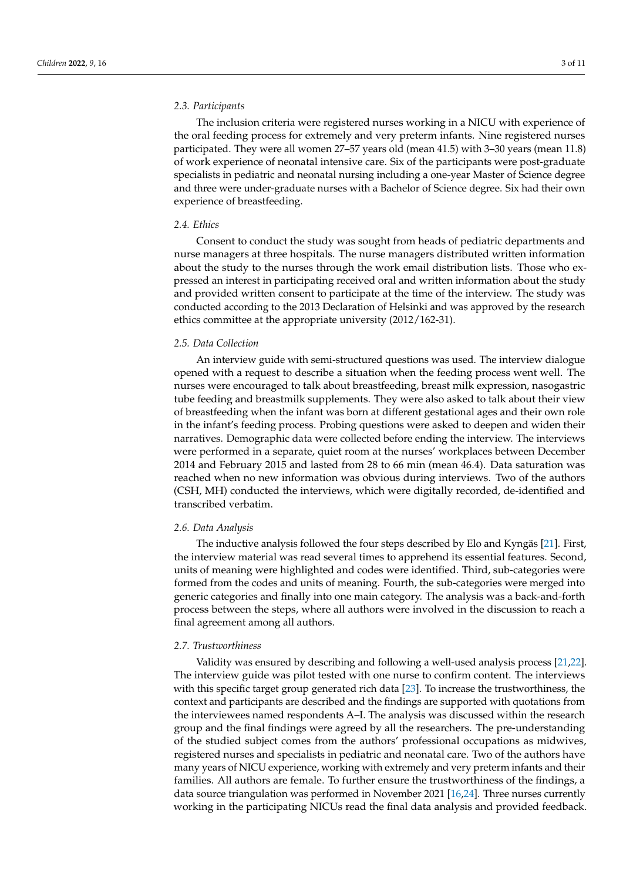## *2.3. Participants*

The inclusion criteria were registered nurses working in a NICU with experience of the oral feeding process for extremely and very preterm infants. Nine registered nurses participated. They were all women 27–57 years old (mean 41.5) with 3–30 years (mean 11.8) of work experience of neonatal intensive care. Six of the participants were post-graduate specialists in pediatric and neonatal nursing including a one-year Master of Science degree and three were under-graduate nurses with a Bachelor of Science degree. Six had their own experience of breastfeeding.

# *2.4. Ethics*

Consent to conduct the study was sought from heads of pediatric departments and nurse managers at three hospitals. The nurse managers distributed written information about the study to the nurses through the work email distribution lists. Those who expressed an interest in participating received oral and written information about the study and provided written consent to participate at the time of the interview. The study was conducted according to the 2013 Declaration of Helsinki and was approved by the research ethics committee at the appropriate university (2012/162-31).

#### *2.5. Data Collection*

An interview guide with semi-structured questions was used. The interview dialogue opened with a request to describe a situation when the feeding process went well. The nurses were encouraged to talk about breastfeeding, breast milk expression, nasogastric tube feeding and breastmilk supplements. They were also asked to talk about their view of breastfeeding when the infant was born at different gestational ages and their own role in the infant's feeding process. Probing questions were asked to deepen and widen their narratives. Demographic data were collected before ending the interview. The interviews were performed in a separate, quiet room at the nurses' workplaces between December 2014 and February 2015 and lasted from 28 to 66 min (mean 46.4). Data saturation was reached when no new information was obvious during interviews. Two of the authors (CSH, MH) conducted the interviews, which were digitally recorded, de-identified and transcribed verbatim.

### *2.6. Data Analysis*

The inductive analysis followed the four steps described by Elo and Kyngäs [\[21\]](#page-11-4). First, the interview material was read several times to apprehend its essential features. Second, units of meaning were highlighted and codes were identified. Third, sub-categories were formed from the codes and units of meaning. Fourth, the sub-categories were merged into generic categories and finally into one main category. The analysis was a back-and-forth process between the steps, where all authors were involved in the discussion to reach a final agreement among all authors.

# *2.7. Trustworthiness*

Validity was ensured by describing and following a well-used analysis process [\[21](#page-11-4)[,22\]](#page-11-5). The interview guide was pilot tested with one nurse to confirm content. The interviews with this specific target group generated rich data [\[23\]](#page-11-6). To increase the trustworthiness, the context and participants are described and the findings are supported with quotations from the interviewees named respondents A–I. The analysis was discussed within the research group and the final findings were agreed by all the researchers. The pre-understanding of the studied subject comes from the authors' professional occupations as midwives, registered nurses and specialists in pediatric and neonatal care. Two of the authors have many years of NICU experience, working with extremely and very preterm infants and their families. All authors are female. To further ensure the trustworthiness of the findings, a data source triangulation was performed in November 2021 [\[16,](#page-11-1)[24\]](#page-11-7). Three nurses currently working in the participating NICUs read the final data analysis and provided feedback.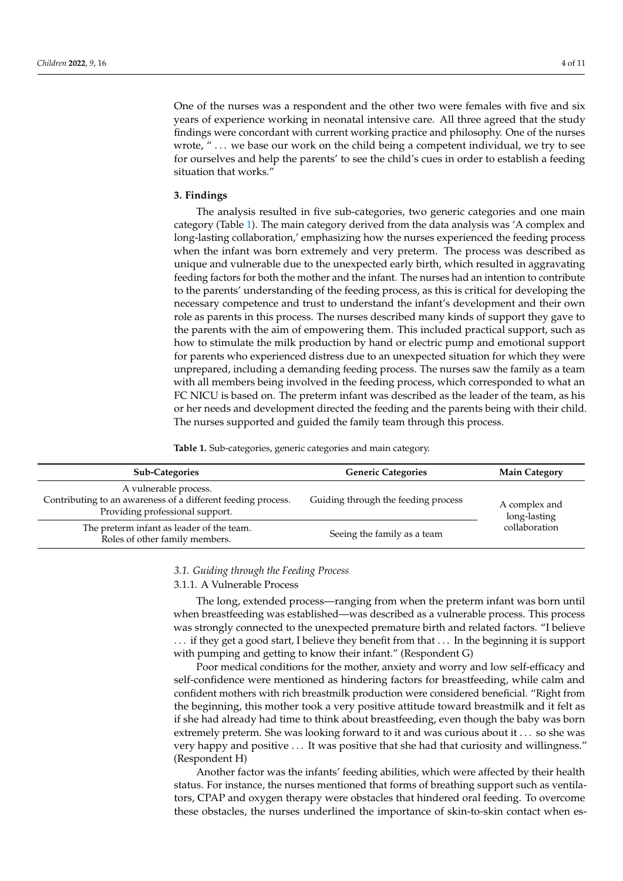One of the nurses was a respondent and the other two were females with five and six years of experience working in neonatal intensive care. All three agreed that the study findings were concordant with current working practice and philosophy. One of the nurses wrote, "... we base our work on the child being a competent individual, we try to see for ourselves and help the parents' to see the child's cues in order to establish a feeding situation that works."

#### **3. Findings**

The analysis resulted in five sub-categories, two generic categories and one main category (Table [1\)](#page-4-0). The main category derived from the data analysis was 'A complex and long-lasting collaboration,' emphasizing how the nurses experienced the feeding process when the infant was born extremely and very preterm. The process was described as unique and vulnerable due to the unexpected early birth, which resulted in aggravating feeding factors for both the mother and the infant. The nurses had an intention to contribute to the parents' understanding of the feeding process, as this is critical for developing the necessary competence and trust to understand the infant's development and their own role as parents in this process. The nurses described many kinds of support they gave to the parents with the aim of empowering them. This included practical support, such as how to stimulate the milk production by hand or electric pump and emotional support for parents who experienced distress due to an unexpected situation for which they were unprepared, including a demanding feeding process. The nurses saw the family as a team with all members being involved in the feeding process, which corresponded to what an FC NICU is based on. The preterm infant was described as the leader of the team, as his or her needs and development directed the feeding and the parents being with their child. The nurses supported and guided the family team through this process.

<span id="page-4-0"></span>**Table 1.** Sub-categories, generic categories and main category.

| <b>Sub-Categories</b>                                                                                                    | <b>Generic Categories</b>           | <b>Main Category</b>                           |
|--------------------------------------------------------------------------------------------------------------------------|-------------------------------------|------------------------------------------------|
| A vulnerable process.<br>Contributing to an awareness of a different feeding process.<br>Providing professional support. | Guiding through the feeding process | A complex and<br>long-lasting<br>collaboration |
| The preterm infant as leader of the team.<br>Roles of other family members.                                              | Seeing the family as a team         |                                                |

#### *3.1. Guiding through the Feeding Process*

#### 3.1.1. A Vulnerable Process

The long, extended process—ranging from when the preterm infant was born until when breastfeeding was established—was described as a vulnerable process. This process was strongly connected to the unexpected premature birth and related factors. "I believe . . . if they get a good start, I believe they benefit from that . . . In the beginning it is support with pumping and getting to know their infant." (Respondent G)

Poor medical conditions for the mother, anxiety and worry and low self-efficacy and self-confidence were mentioned as hindering factors for breastfeeding, while calm and confident mothers with rich breastmilk production were considered beneficial. "Right from the beginning, this mother took a very positive attitude toward breastmilk and it felt as if she had already had time to think about breastfeeding, even though the baby was born extremely preterm. She was looking forward to it and was curious about it . . . so she was very happy and positive . . . It was positive that she had that curiosity and willingness." (Respondent H)

Another factor was the infants' feeding abilities, which were affected by their health status. For instance, the nurses mentioned that forms of breathing support such as ventilators, CPAP and oxygen therapy were obstacles that hindered oral feeding. To overcome these obstacles, the nurses underlined the importance of skin-to-skin contact when es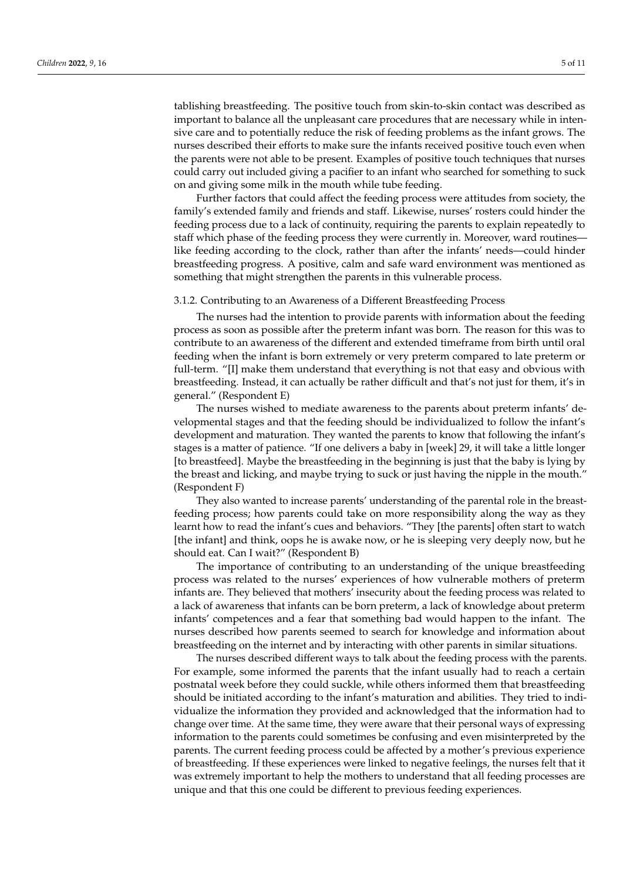tablishing breastfeeding. The positive touch from skin-to-skin contact was described as important to balance all the unpleasant care procedures that are necessary while in intensive care and to potentially reduce the risk of feeding problems as the infant grows. The nurses described their efforts to make sure the infants received positive touch even when the parents were not able to be present. Examples of positive touch techniques that nurses could carry out included giving a pacifier to an infant who searched for something to suck on and giving some milk in the mouth while tube feeding.

Further factors that could affect the feeding process were attitudes from society, the family's extended family and friends and staff. Likewise, nurses' rosters could hinder the feeding process due to a lack of continuity, requiring the parents to explain repeatedly to staff which phase of the feeding process they were currently in. Moreover, ward routines like feeding according to the clock, rather than after the infants' needs—could hinder breastfeeding progress. A positive, calm and safe ward environment was mentioned as something that might strengthen the parents in this vulnerable process.

#### 3.1.2. Contributing to an Awareness of a Different Breastfeeding Process

The nurses had the intention to provide parents with information about the feeding process as soon as possible after the preterm infant was born. The reason for this was to contribute to an awareness of the different and extended timeframe from birth until oral feeding when the infant is born extremely or very preterm compared to late preterm or full-term. "[I] make them understand that everything is not that easy and obvious with breastfeeding. Instead, it can actually be rather difficult and that's not just for them, it's in general." (Respondent E)

The nurses wished to mediate awareness to the parents about preterm infants' developmental stages and that the feeding should be individualized to follow the infant's development and maturation. They wanted the parents to know that following the infant's stages is a matter of patience. "If one delivers a baby in [week] 29, it will take a little longer [to breastfeed]. Maybe the breastfeeding in the beginning is just that the baby is lying by the breast and licking, and maybe trying to suck or just having the nipple in the mouth." (Respondent F)

They also wanted to increase parents' understanding of the parental role in the breastfeeding process; how parents could take on more responsibility along the way as they learnt how to read the infant's cues and behaviors. "They [the parents] often start to watch [the infant] and think, oops he is awake now, or he is sleeping very deeply now, but he should eat. Can I wait?" (Respondent B)

The importance of contributing to an understanding of the unique breastfeeding process was related to the nurses' experiences of how vulnerable mothers of preterm infants are. They believed that mothers' insecurity about the feeding process was related to a lack of awareness that infants can be born preterm, a lack of knowledge about preterm infants' competences and a fear that something bad would happen to the infant. The nurses described how parents seemed to search for knowledge and information about breastfeeding on the internet and by interacting with other parents in similar situations.

The nurses described different ways to talk about the feeding process with the parents. For example, some informed the parents that the infant usually had to reach a certain postnatal week before they could suckle, while others informed them that breastfeeding should be initiated according to the infant's maturation and abilities. They tried to individualize the information they provided and acknowledged that the information had to change over time. At the same time, they were aware that their personal ways of expressing information to the parents could sometimes be confusing and even misinterpreted by the parents. The current feeding process could be affected by a mother's previous experience of breastfeeding. If these experiences were linked to negative feelings, the nurses felt that it was extremely important to help the mothers to understand that all feeding processes are unique and that this one could be different to previous feeding experiences.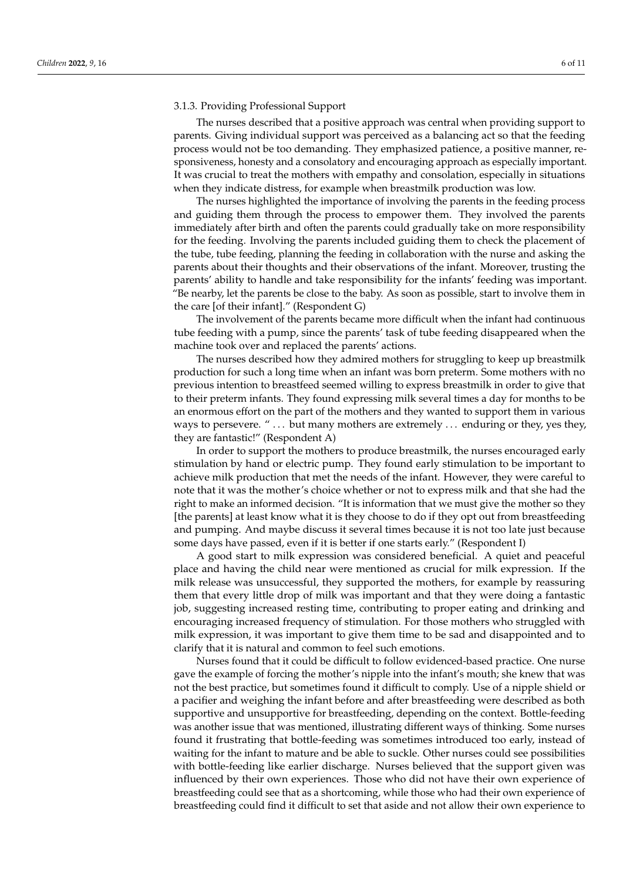#### 3.1.3. Providing Professional Support

The nurses described that a positive approach was central when providing support to parents. Giving individual support was perceived as a balancing act so that the feeding process would not be too demanding. They emphasized patience, a positive manner, responsiveness, honesty and a consolatory and encouraging approach as especially important. It was crucial to treat the mothers with empathy and consolation, especially in situations when they indicate distress, for example when breastmilk production was low.

The nurses highlighted the importance of involving the parents in the feeding process and guiding them through the process to empower them. They involved the parents immediately after birth and often the parents could gradually take on more responsibility for the feeding. Involving the parents included guiding them to check the placement of the tube, tube feeding, planning the feeding in collaboration with the nurse and asking the parents about their thoughts and their observations of the infant. Moreover, trusting the parents' ability to handle and take responsibility for the infants' feeding was important. "Be nearby, let the parents be close to the baby. As soon as possible, start to involve them in the care [of their infant]." (Respondent G)

The involvement of the parents became more difficult when the infant had continuous tube feeding with a pump, since the parents' task of tube feeding disappeared when the machine took over and replaced the parents' actions.

The nurses described how they admired mothers for struggling to keep up breastmilk production for such a long time when an infant was born preterm. Some mothers with no previous intention to breastfeed seemed willing to express breastmilk in order to give that to their preterm infants. They found expressing milk several times a day for months to be an enormous effort on the part of the mothers and they wanted to support them in various ways to persevere. " $\dots$  but many mothers are extremely  $\dots$  enduring or they, yes they, they are fantastic!" (Respondent A)

In order to support the mothers to produce breastmilk, the nurses encouraged early stimulation by hand or electric pump. They found early stimulation to be important to achieve milk production that met the needs of the infant. However, they were careful to note that it was the mother's choice whether or not to express milk and that she had the right to make an informed decision. "It is information that we must give the mother so they [the parents] at least know what it is they choose to do if they opt out from breastfeeding and pumping. And maybe discuss it several times because it is not too late just because some days have passed, even if it is better if one starts early." (Respondent I)

A good start to milk expression was considered beneficial. A quiet and peaceful place and having the child near were mentioned as crucial for milk expression. If the milk release was unsuccessful, they supported the mothers, for example by reassuring them that every little drop of milk was important and that they were doing a fantastic job, suggesting increased resting time, contributing to proper eating and drinking and encouraging increased frequency of stimulation. For those mothers who struggled with milk expression, it was important to give them time to be sad and disappointed and to clarify that it is natural and common to feel such emotions.

Nurses found that it could be difficult to follow evidenced-based practice. One nurse gave the example of forcing the mother's nipple into the infant's mouth; she knew that was not the best practice, but sometimes found it difficult to comply. Use of a nipple shield or a pacifier and weighing the infant before and after breastfeeding were described as both supportive and unsupportive for breastfeeding, depending on the context. Bottle-feeding was another issue that was mentioned, illustrating different ways of thinking. Some nurses found it frustrating that bottle-feeding was sometimes introduced too early, instead of waiting for the infant to mature and be able to suckle. Other nurses could see possibilities with bottle-feeding like earlier discharge. Nurses believed that the support given was influenced by their own experiences. Those who did not have their own experience of breastfeeding could see that as a shortcoming, while those who had their own experience of breastfeeding could find it difficult to set that aside and not allow their own experience to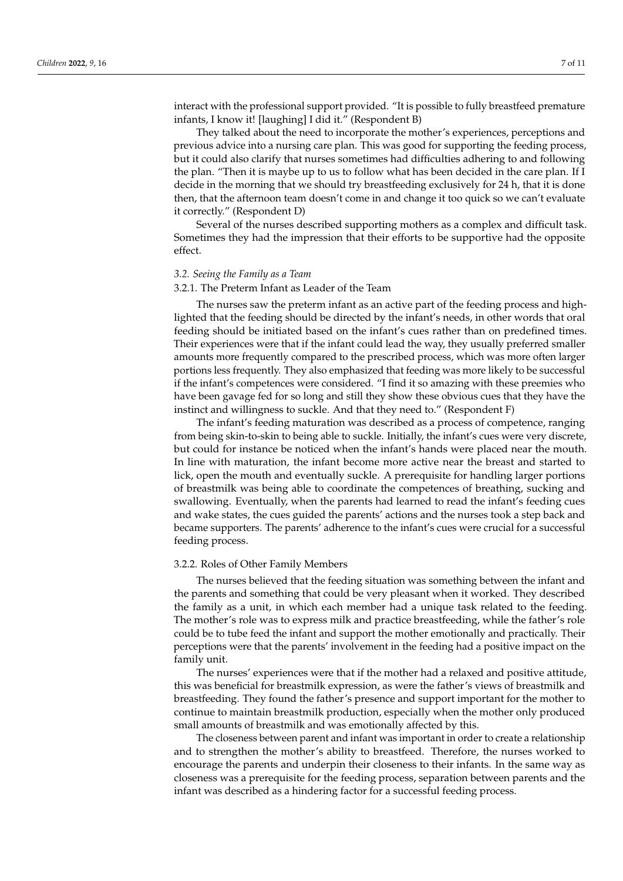interact with the professional support provided. "It is possible to fully breastfeed premature infants, I know it! [laughing] I did it." (Respondent B)

They talked about the need to incorporate the mother's experiences, perceptions and previous advice into a nursing care plan. This was good for supporting the feeding process, but it could also clarify that nurses sometimes had difficulties adhering to and following the plan. "Then it is maybe up to us to follow what has been decided in the care plan. If I decide in the morning that we should try breastfeeding exclusively for 24 h, that it is done then, that the afternoon team doesn't come in and change it too quick so we can't evaluate it correctly." (Respondent D)

Several of the nurses described supporting mothers as a complex and difficult task. Sometimes they had the impression that their efforts to be supportive had the opposite effect.

#### *3.2. Seeing the Family as a Team*

#### 3.2.1. The Preterm Infant as Leader of the Team

The nurses saw the preterm infant as an active part of the feeding process and highlighted that the feeding should be directed by the infant's needs, in other words that oral feeding should be initiated based on the infant's cues rather than on predefined times. Their experiences were that if the infant could lead the way, they usually preferred smaller amounts more frequently compared to the prescribed process, which was more often larger portions less frequently. They also emphasized that feeding was more likely to be successful if the infant's competences were considered. "I find it so amazing with these preemies who have been gavage fed for so long and still they show these obvious cues that they have the instinct and willingness to suckle. And that they need to." (Respondent F)

The infant's feeding maturation was described as a process of competence, ranging from being skin-to-skin to being able to suckle. Initially, the infant's cues were very discrete, but could for instance be noticed when the infant's hands were placed near the mouth. In line with maturation, the infant become more active near the breast and started to lick, open the mouth and eventually suckle. A prerequisite for handling larger portions of breastmilk was being able to coordinate the competences of breathing, sucking and swallowing. Eventually, when the parents had learned to read the infant's feeding cues and wake states, the cues guided the parents' actions and the nurses took a step back and became supporters. The parents' adherence to the infant's cues were crucial for a successful feeding process.

#### 3.2.2. Roles of Other Family Members

The nurses believed that the feeding situation was something between the infant and the parents and something that could be very pleasant when it worked. They described the family as a unit, in which each member had a unique task related to the feeding. The mother's role was to express milk and practice breastfeeding, while the father's role could be to tube feed the infant and support the mother emotionally and practically. Their perceptions were that the parents' involvement in the feeding had a positive impact on the family unit.

The nurses' experiences were that if the mother had a relaxed and positive attitude, this was beneficial for breastmilk expression, as were the father's views of breastmilk and breastfeeding. They found the father's presence and support important for the mother to continue to maintain breastmilk production, especially when the mother only produced small amounts of breastmilk and was emotionally affected by this.

The closeness between parent and infant was important in order to create a relationship and to strengthen the mother's ability to breastfeed. Therefore, the nurses worked to encourage the parents and underpin their closeness to their infants. In the same way as closeness was a prerequisite for the feeding process, separation between parents and the infant was described as a hindering factor for a successful feeding process.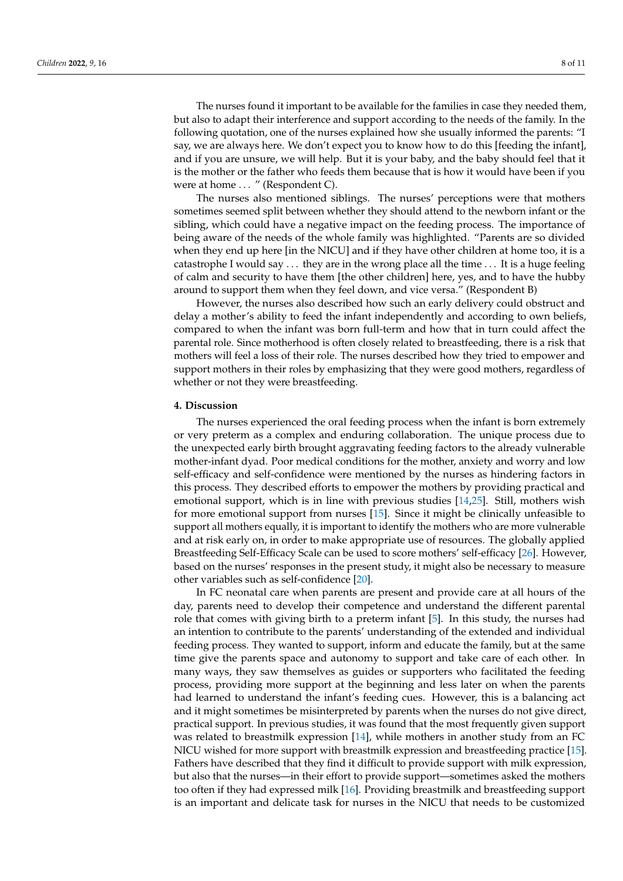The nurses found it important to be available for the families in case they needed them, but also to adapt their interference and support according to the needs of the family. In the following quotation, one of the nurses explained how she usually informed the parents: "I say, we are always here. We don't expect you to know how to do this [feeding the infant], and if you are unsure, we will help. But it is your baby, and the baby should feel that it is the mother or the father who feeds them because that is how it would have been if you were at home ... " (Respondent C).

The nurses also mentioned siblings. The nurses' perceptions were that mothers sometimes seemed split between whether they should attend to the newborn infant or the sibling, which could have a negative impact on the feeding process. The importance of being aware of the needs of the whole family was highlighted. "Parents are so divided when they end up here [in the NICU] and if they have other children at home too, it is a catastrophe I would say . . . they are in the wrong place all the time . . . It is a huge feeling of calm and security to have them [the other children] here, yes, and to have the hubby around to support them when they feel down, and vice versa." (Respondent B)

However, the nurses also described how such an early delivery could obstruct and delay a mother's ability to feed the infant independently and according to own beliefs, compared to when the infant was born full-term and how that in turn could affect the parental role. Since motherhood is often closely related to breastfeeding, there is a risk that mothers will feel a loss of their role. The nurses described how they tried to empower and support mothers in their roles by emphasizing that they were good mothers, regardless of whether or not they were breastfeeding.

### **4. Discussion**

The nurses experienced the oral feeding process when the infant is born extremely or very preterm as a complex and enduring collaboration. The unique process due to the unexpected early birth brought aggravating feeding factors to the already vulnerable mother-infant dyad. Poor medical conditions for the mother, anxiety and worry and low self-efficacy and self-confidence were mentioned by the nurses as hindering factors in this process. They described efforts to empower the mothers by providing practical and emotional support, which is in line with previous studies [\[14](#page-10-12)[,25\]](#page-11-8). Still, mothers wish for more emotional support from nurses [\[15\]](#page-11-0). Since it might be clinically unfeasible to support all mothers equally, it is important to identify the mothers who are more vulnerable and at risk early on, in order to make appropriate use of resources. The globally applied Breastfeeding Self-Efficacy Scale can be used to score mothers' self-efficacy [\[26\]](#page-11-9). However, based on the nurses' responses in the present study, it might also be necessary to measure other variables such as self-confidence [\[20\]](#page-11-3).

In FC neonatal care when parents are present and provide care at all hours of the day, parents need to develop their competence and understand the different parental role that comes with giving birth to a preterm infant [\[5\]](#page-10-4). In this study, the nurses had an intention to contribute to the parents' understanding of the extended and individual feeding process. They wanted to support, inform and educate the family, but at the same time give the parents space and autonomy to support and take care of each other. In many ways, they saw themselves as guides or supporters who facilitated the feeding process, providing more support at the beginning and less later on when the parents had learned to understand the infant's feeding cues. However, this is a balancing act and it might sometimes be misinterpreted by parents when the nurses do not give direct, practical support. In previous studies, it was found that the most frequently given support was related to breastmilk expression [\[14\]](#page-10-12), while mothers in another study from an FC NICU wished for more support with breastmilk expression and breastfeeding practice [\[15\]](#page-11-0). Fathers have described that they find it difficult to provide support with milk expression, but also that the nurses—in their effort to provide support—sometimes asked the mothers too often if they had expressed milk [\[16\]](#page-11-1). Providing breastmilk and breastfeeding support is an important and delicate task for nurses in the NICU that needs to be customized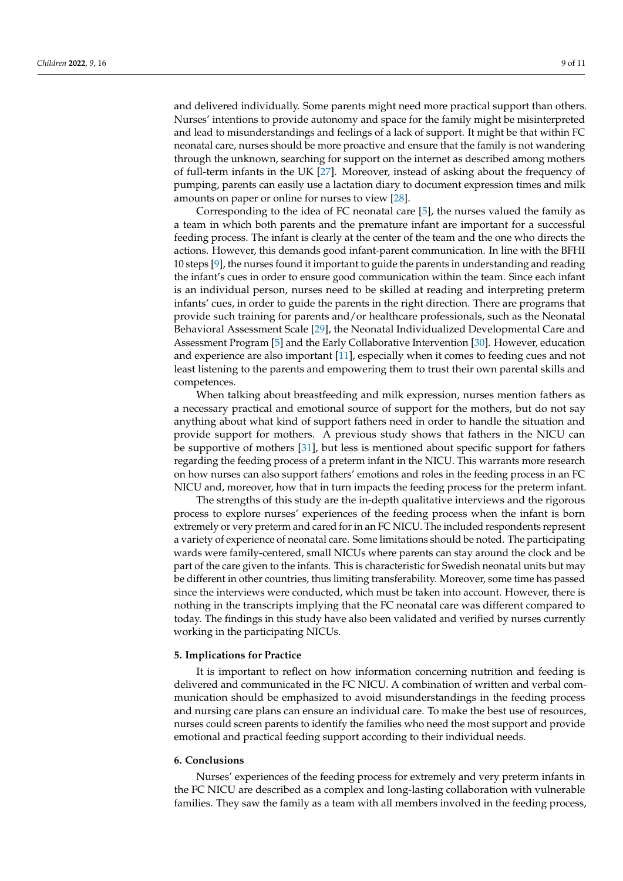and delivered individually. Some parents might need more practical support than others. Nurses' intentions to provide autonomy and space for the family might be misinterpreted and lead to misunderstandings and feelings of a lack of support. It might be that within FC neonatal care, nurses should be more proactive and ensure that the family is not wandering through the unknown, searching for support on the internet as described among mothers of full-term infants in the UK [\[27\]](#page-11-10). Moreover, instead of asking about the frequency of pumping, parents can easily use a lactation diary to document expression times and milk amounts on paper or online for nurses to view [\[28\]](#page-11-11).

Corresponding to the idea of FC neonatal care [\[5\]](#page-10-4), the nurses valued the family as a team in which both parents and the premature infant are important for a successful feeding process. The infant is clearly at the center of the team and the one who directs the actions. However, this demands good infant-parent communication. In line with the BFHI 10 steps [\[9\]](#page-10-8), the nurses found it important to guide the parents in understanding and reading the infant's cues in order to ensure good communication within the team. Since each infant is an individual person, nurses need to be skilled at reading and interpreting preterm infants' cues, in order to guide the parents in the right direction. There are programs that provide such training for parents and/or healthcare professionals, such as the Neonatal Behavioral Assessment Scale [\[29\]](#page-11-12), the Neonatal Individualized Developmental Care and Assessment Program [\[5\]](#page-10-4) and the Early Collaborative Intervention [\[30\]](#page-11-13). However, education and experience are also important [\[11\]](#page-10-9), especially when it comes to feeding cues and not least listening to the parents and empowering them to trust their own parental skills and competences.

When talking about breastfeeding and milk expression, nurses mention fathers as a necessary practical and emotional source of support for the mothers, but do not say anything about what kind of support fathers need in order to handle the situation and provide support for mothers. A previous study shows that fathers in the NICU can be supportive of mothers [\[31\]](#page-11-14), but less is mentioned about specific support for fathers regarding the feeding process of a preterm infant in the NICU. This warrants more research on how nurses can also support fathers' emotions and roles in the feeding process in an FC NICU and, moreover, how that in turn impacts the feeding process for the preterm infant.

The strengths of this study are the in-depth qualitative interviews and the rigorous process to explore nurses' experiences of the feeding process when the infant is born extremely or very preterm and cared for in an FC NICU. The included respondents represent a variety of experience of neonatal care. Some limitations should be noted. The participating wards were family-centered, small NICUs where parents can stay around the clock and be part of the care given to the infants. This is characteristic for Swedish neonatal units but may be different in other countries, thus limiting transferability. Moreover, some time has passed since the interviews were conducted, which must be taken into account. However, there is nothing in the transcripts implying that the FC neonatal care was different compared to today. The findings in this study have also been validated and verified by nurses currently working in the participating NICUs.

# **5. Implications for Practice**

It is important to reflect on how information concerning nutrition and feeding is delivered and communicated in the FC NICU. A combination of written and verbal communication should be emphasized to avoid misunderstandings in the feeding process and nursing care plans can ensure an individual care. To make the best use of resources, nurses could screen parents to identify the families who need the most support and provide emotional and practical feeding support according to their individual needs.

# **6. Conclusions**

Nurses' experiences of the feeding process for extremely and very preterm infants in the FC NICU are described as a complex and long-lasting collaboration with vulnerable families. They saw the family as a team with all members involved in the feeding process,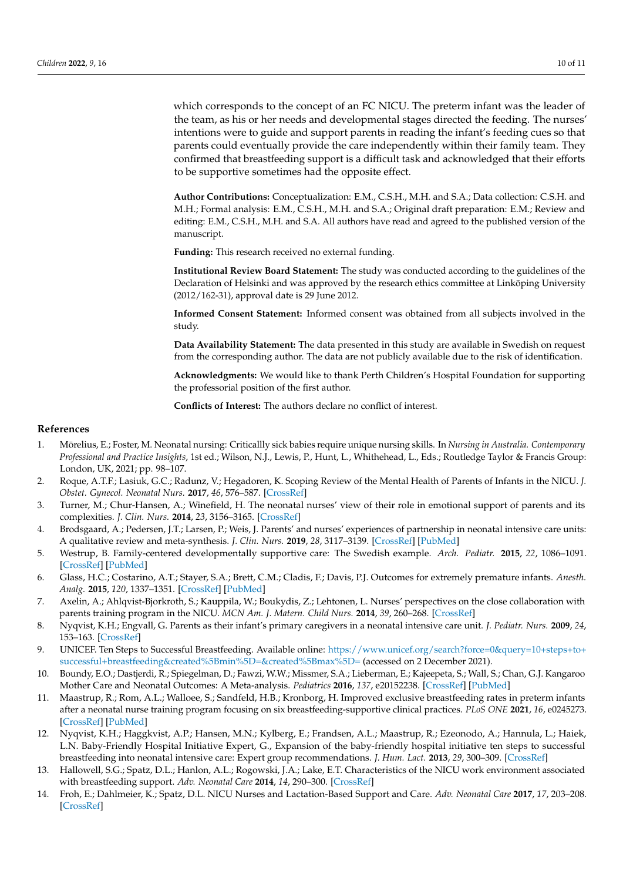which corresponds to the concept of an FC NICU. The preterm infant was the leader of the team, as his or her needs and developmental stages directed the feeding. The nurses' intentions were to guide and support parents in reading the infant's feeding cues so that parents could eventually provide the care independently within their family team. They confirmed that breastfeeding support is a difficult task and acknowledged that their efforts to be supportive sometimes had the opposite effect.

**Author Contributions:** Conceptualization: E.M., C.S.H., M.H. and S.A.; Data collection: C.S.H. and M.H.; Formal analysis: E.M., C.S.H., M.H. and S.A.; Original draft preparation: E.M.; Review and editing: E.M., C.S.H., M.H. and S.A. All authors have read and agreed to the published version of the manuscript.

**Funding:** This research received no external funding.

**Institutional Review Board Statement:** The study was conducted according to the guidelines of the Declaration of Helsinki and was approved by the research ethics committee at Linköping University (2012/162-31), approval date is 29 June 2012.

**Informed Consent Statement:** Informed consent was obtained from all subjects involved in the study.

**Data Availability Statement:** The data presented in this study are available in Swedish on request from the corresponding author. The data are not publicly available due to the risk of identification.

**Acknowledgments:** We would like to thank Perth Children's Hospital Foundation for supporting the professorial position of the first author.

**Conflicts of Interest:** The authors declare no conflict of interest.

# **References**

- <span id="page-10-0"></span>1. Mörelius, E.; Foster, M. Neonatal nursing: Criticallly sick babies require unique nursing skills. In *Nursing in Australia. Contemporary Professional and Practice Insights*, 1st ed.; Wilson, N.J., Lewis, P., Hunt, L., Whithehead, L., Eds.; Routledge Taylor & Francis Group: London, UK, 2021; pp. 98–107.
- <span id="page-10-1"></span>2. Roque, A.T.F.; Lasiuk, G.C.; Radunz, V.; Hegadoren, K. Scoping Review of the Mental Health of Parents of Infants in the NICU. *J. Obstet. Gynecol. Neonatal Nurs.* **2017**, *46*, 576–587. [\[CrossRef\]](http://doi.org/10.1016/j.jogn.2017.02.005)
- <span id="page-10-2"></span>3. Turner, M.; Chur-Hansen, A.; Winefield, H. The neonatal nurses' view of their role in emotional support of parents and its complexities. *J. Clin. Nurs.* **2014**, *23*, 3156–3165. [\[CrossRef\]](http://doi.org/10.1111/jocn.12558)
- <span id="page-10-3"></span>4. Brodsgaard, A.; Pedersen, J.T.; Larsen, P.; Weis, J. Parents' and nurses' experiences of partnership in neonatal intensive care units: A qualitative review and meta-synthesis. *J. Clin. Nurs.* **2019**, *28*, 3117–3139. [\[CrossRef\]](http://doi.org/10.1111/jocn.14920) [\[PubMed\]](http://www.ncbi.nlm.nih.gov/pubmed/31112337)
- <span id="page-10-4"></span>5. Westrup, B. Family-centered developmentally supportive care: The Swedish example. *Arch. Pediatr.* **2015**, *22*, 1086–1091. [\[CrossRef\]](http://doi.org/10.1016/j.arcped.2015.07.005) [\[PubMed\]](http://www.ncbi.nlm.nih.gov/pubmed/26382641)
- <span id="page-10-5"></span>6. Glass, H.C.; Costarino, A.T.; Stayer, S.A.; Brett, C.M.; Cladis, F.; Davis, P.J. Outcomes for extremely premature infants. *Anesth. Analg.* **2015**, *120*, 1337–1351. [\[CrossRef\]](http://doi.org/10.1213/ANE.0000000000000705) [\[PubMed\]](http://www.ncbi.nlm.nih.gov/pubmed/25988638)
- <span id="page-10-6"></span>7. Axelin, A.; Ahlqvist-Bjorkroth, S.; Kauppila, W.; Boukydis, Z.; Lehtonen, L. Nurses' perspectives on the close collaboration with parents training program in the NICU. *MCN Am. J. Matern. Child Nurs.* **2014**, *39*, 260–268. [\[CrossRef\]](http://doi.org/10.1097/NMC.0000000000000061)
- <span id="page-10-7"></span>8. Nyqvist, K.H.; Engvall, G. Parents as their infant's primary caregivers in a neonatal intensive care unit. *J. Pediatr. Nurs.* **2009**, *24*, 153–163. [\[CrossRef\]](http://doi.org/10.1016/j.pedn.2008.07.006)
- <span id="page-10-8"></span>9. UNICEF. Ten Steps to Successful Breastfeeding. Available online: [https://www.unicef.org/search?force=0&query=10+steps+to+](https://www.unicef.org/search?force=0&query=10+steps+to+successful+breastfeeding&created%5Bmin%5D=&created%5Bmax%5D=) [successful+breastfeeding&created%5Bmin%5D=&created%5Bmax%5D=](https://www.unicef.org/search?force=0&query=10+steps+to+successful+breastfeeding&created%5Bmin%5D=&created%5Bmax%5D=) (accessed on 2 December 2021).
- 10. Boundy, E.O.; Dastjerdi, R.; Spiegelman, D.; Fawzi, W.W.; Missmer, S.A.; Lieberman, E.; Kajeepeta, S.; Wall, S.; Chan, G.J. Kangaroo Mother Care and Neonatal Outcomes: A Meta-analysis. *Pediatrics* **2016**, *137*, e20152238. [\[CrossRef\]](http://doi.org/10.1542/peds.2015-2238) [\[PubMed\]](http://www.ncbi.nlm.nih.gov/pubmed/26702029)
- <span id="page-10-9"></span>11. Maastrup, R.; Rom, A.L.; Walloee, S.; Sandfeld, H.B.; Kronborg, H. Improved exclusive breastfeeding rates in preterm infants after a neonatal nurse training program focusing on six breastfeeding-supportive clinical practices. *PLoS ONE* **2021**, *16*, e0245273. [\[CrossRef\]](http://doi.org/10.1371/journal.pone.0245273) [\[PubMed\]](http://www.ncbi.nlm.nih.gov/pubmed/33534831)
- <span id="page-10-10"></span>12. Nyqvist, K.H.; Haggkvist, A.P.; Hansen, M.N.; Kylberg, E.; Frandsen, A.L.; Maastrup, R.; Ezeonodo, A.; Hannula, L.; Haiek, L.N. Baby-Friendly Hospital Initiative Expert, G., Expansion of the baby-friendly hospital initiative ten steps to successful breastfeeding into neonatal intensive care: Expert group recommendations. *J. Hum. Lact.* **2013**, *29*, 300–309. [\[CrossRef\]](http://doi.org/10.1177/0890334413489775)
- <span id="page-10-11"></span>13. Hallowell, S.G.; Spatz, D.L.; Hanlon, A.L.; Rogowski, J.A.; Lake, E.T. Characteristics of the NICU work environment associated with breastfeeding support. *Adv. Neonatal Care* **2014**, *14*, 290–300. [\[CrossRef\]](http://doi.org/10.1097/ANC.0000000000000102)
- <span id="page-10-12"></span>14. Froh, E.; Dahlmeier, K.; Spatz, D.L. NICU Nurses and Lactation-Based Support and Care. *Adv. Neonatal Care* **2017**, *17*, 203–208. [\[CrossRef\]](http://doi.org/10.1097/ANC.0000000000000370)